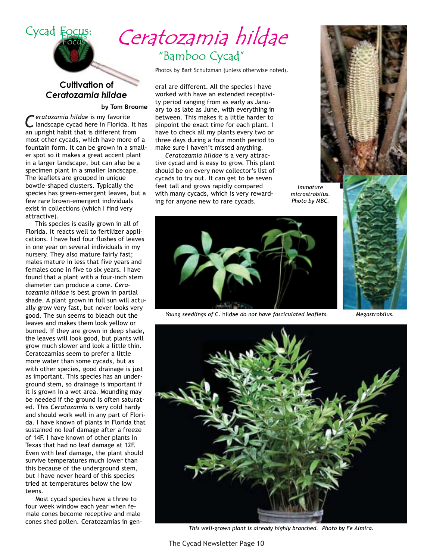

# Ceratozamia hildae "Bamboo Cycad"

Photos by Bart Schutzman (unless otherwise noted).

eral are different. All the species I have worked with have an extended receptivity period ranging from as early as January to as late as June, with everything in between. This makes it a little harder to pinpoint the exact time for each plant. I have to check all my plants every two or three days during a four month period to make sure I haven't missed anything.

Ceratozamia hildae is a very attractive cycad and is easy to grow. This plant should be on every new collector's list of cycads to try out. It can get to be seven feet tall and grows rapidly compared with many cycads, which is very rewarding for anyone new to rare cycads.



Immature microstrobilus. Photo by MBC.



Young seedlings of C. hildae do not have fasciculated leaflets.





This well-grown plant is already highly branched. Photo by Fe Almira.

**Cultivation of** Ceratozamia hildae

by Tom Broome

eratozamia hildae is my favorite landscape cycad here in Florida. It has an upright habit that is different from most other cycads, which have more of a fountain form. It can be grown in a smaller spot so it makes a great accent plant in a larger landscape, but can also be a specimen plant in a smaller landscape. The leaflets are grouped in unique bowtie-shaped clusters. Typically the species has green-emergent leaves, but a few rare brown-emergent individuals exist in collections (which I find very attractive).

This species is easily grown in all of Florida. It reacts well to fertilizer applications. I have had four flushes of leaves in one year on several individuals in my nursery. They also mature fairly fast; males mature in less that five years and females cone in five to six years. I have found that a plant with a four-inch stem diameter can produce a cone. Ceratozamia hildae is best grown in partial shade. A plant grown in full sun will actually grow very fast, but never looks very good. The sun seems to bleach out the leaves and makes them look yellow or burned. If they are grown in deep shade, the leaves will look good, but plants will grow much slower and look a little thin. Ceratozamias seem to prefer a little more water than some cycads, but as with other species, good drainage is just as important. This species has an underground stem, so drainage is important if it is grown in a wet area. Mounding may be needed if the ground is often saturated. This Ceratozamia is very cold hardy and should work well in any part of Florida. I have known of plants in Florida that sustained no leaf damage after a freeze of 14F. I have known of other plants in Texas that had no leaf damage at 12F. Even with leaf damage, the plant should survive temperatures much lower than this because of the underground stem, but I have never heard of this species tried at temperatures below the low teens.

Most cycad species have a three to four week window each year when female cones become receptive and male cones shed pollen. Ceratozamias in gen-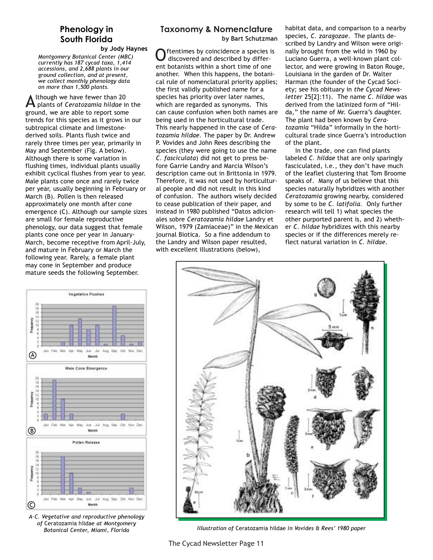## Phenology in South Florida

by Jody Haynes Montgomery Botanical Center (MBC) currently has 187 cycad taxa, 1,414 accessions, and 2,688 plants in our ground collection, and at present, we collect monthly phenology data on more than 1,500 plants.

Ithough we have fewer than 20  $\blacktriangle$  plants of Ceratozamia hildae in the ground, we are able to report some trends for this species as it grows in our subtropical climate and limestonederived soils. Plants flush twice and rarely three times per year, primarily in May and September (Fig. A below). Although there is some variation in flushing times, individual plants usually exhibit cyclical flushes from year to year. Male plants cone once and rarely twice per year, usually beginning in February or March (B). Pollen is then released approximately one month after cone emergence (C). Although our sample sizes are small for female reproductive phenology, our data suggest that female plants cone once per year in January-March, become receptive from April-July, and mature in February or March the following year. Rarely, a female plant may cone in September and produce mature seeds the following September.



A-C. Vegetative and reproductive phenology of Ceratozamia hildae at Montgomery Botanical Center, Miami, Florida

## **Taxonomy & Nomenclature**

by Bart Schutzman

ftentimes by coincidence a species is discovered and described by different botanists within a short time of one another. When this happens, the botanical rule of nomenclatural priority applies; the first validly published name for a species has priority over later names, which are regarded as synonyms. This can cause confusion when both names are being used in the horticultural trade. This nearly happened in the case of Ceratozamia hildae. The paper by Dr. Andrew P. Vovides and John Rees describing the species (they were going to use the name C. fasciculata) did not get to press before Garrie Landry and Marcia Wilson's description came out in Brittonia in 1979. Therefore, it was not used by horticultural people and did not result in this kind of confusion. The authors wisely decided to cease publication of their paper, and instead in 1980 published "Datos adicionales sobre Ceratozamia hildae Landry et Wilson, 1979 (Zamiaceae)" in the Mexican journal Biotica. So a fine addendum to the Landry and Wilson paper resulted, with excellent illustrations (below),

habitat data, and comparison to a nearby species, C. zaragozae. The plants described by Landry and Wilson were originally brought from the wild in 1960 by Luciano Guerra, a well-known plant collector, and were growing in Baton Rouge, Louisiana in the garden of Dr. Walter Harman (the founder of the Cycad Society; see his obituary in the Cycad Newsletter 25[2]:11). The name C. hildae was derived from the latinized form of "Hilda," the name of Mr. Guerra's daughter. The plant had been known by Ceratozamia "Hilda" informally in the horticultural trade since Guerra's introduction of the plant.

In the trade, one can find plants labeled C. hildae that are only sparingly fasciculated, i.e., they don't have much of the leaflet clustering that Tom Broome speaks of. Many of us believe that this species naturally hybridizes with another Ceratozamia growing nearby, considered by some to be C. latifolia. Only further research will tell 1) what species the other purported parent is, and 2) whether C. hildae hybridizes with this nearby species or if the differences merely reflect natural variation in C. hildae.



Illustration of Ceratozamia hildae in Vovides & Rees' 1980 paper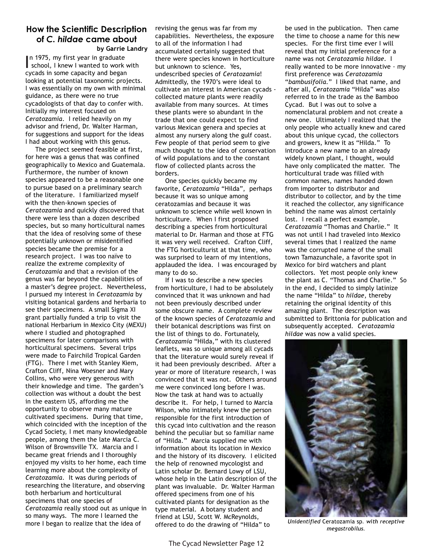#### **How the Scientific Description** of C. hildae came about by Garrie Landry

In 1975, my first year in graduate school, I knew I wanted to work with cycads in some capacity and began looking at potential taxonomic projects. I was essentially on my own with minimal guidance, as there were no true cycadologists of that day to confer with. Initially my interest focused on Ceratozamia. I relied heavily on my advisor and friend, Dr. Walter Harman, for suggestions and support for the ideas I had about working with this genus.

The project seemed feasible at first, for here was a genus that was confined geographically to Mexico and Guatemala. Furthermore, the number of known species appeared to be a reasonable one to pursue based on a preliminary search of the literature. I familiarized myself with the then-known species of Ceratozamia and quickly discovered that there were less than a dozen described species, but so many horticultural names that the idea of resolving some of these potentially unknown or misidentified species became the premise for a research project. I was too naïve to realize the extreme complexity of Ceratozamia and that a revision of the genus was far beyond the capabilities of a master's degree project. Nevertheless, I pursued my interest in Ceratozamia by visiting botanical gardens and herbaria to see their specimens. A small Sigma XI grant partially funded a trip to visit the national Herbarium in Mexico City (MEXU) where I studied and photographed specimens for later comparisons with horticultural specimens. Several trips were made to Fairchild Tropical Garden (FTG). There I met with Stanley Kiem, Crafton Cliff, Nina Woesner and Mary Collins, who were very generous with their knowledge and time. The garden's collection was without a doubt the best in the eastern US, affording me the opportunity to observe many mature cultivated specimens. During that time, which coincided with the inception of the Cycad Society, I met many knowledgeable people, among them the late Marcia C. Wilson of Brownsville TX. Marcia and I became great friends and I thoroughly enjoyed my visits to her home, each time learning more about the complexity of Ceratozamia. It was during periods of researching the literature, and observing both herbarium and horticultural specimens that one species of Ceratozamia really stood out as unique in so many ways. The more I learned the more I began to realize that the idea of

revising the genus was far from my capabilities. Nevertheless, the exposure to all of the information I had accumulated certainly suggested that there were species known in horticulture but unknown to science. Yes, undescribed species of Ceratozamia! Admittedly, the 1970's were ideal to cultivate an interest in American cycads collected mature plants were readily available from many sources. At times these plants were so abundant in the trade that one could expect to find various Mexican genera and species at almost any nursery along the gulf coast. Few people of that period seem to give much thought to the idea of conservation of wild populations and to the constant flow of collected plants across the borders.

One species quickly became my favorite, Ceratozamia "Hilda", perhaps because it was so unique among ceratozamias and because it was unknown to science while well known in horticulture. When I first proposed describing a species from horticultural material to Dr. Harman and those at FTG it was very well received. Crafton Cliff, the FTG horticulturist at that time, who was surprised to learn of my intentions, applauded the idea. I was encouraged by many to do so.

If I was to describe a new species from horticulture, I had to be absolutely convinced that it was unknown and had not been previously described under some obscure name. A complete review of the known species of Ceratozamia and their botanical descriptions was first on the list of things to do. Fortunately, Ceratozamia "Hilda," with its clustered leaflets, was so unique among all cycads that the literature would surely reveal if it had been previously described. After a year or more of literature research, I was convinced that it was not. Others around me were convinced long before I was. Now the task at hand was to actually describe it. For help, I turned to Marcia Wilson, who intimately knew the person responsible for the first introduction of this cycad into cultivation and the reason behind the peculiar but so familiar name of "Hilda." Marcia supplied me with information about its location in Mexico and the history of its discovery. I elicited the help of renowned mycologist and Latin scholar Dr. Bernard Lowy of LSU, whose help in the Latin description of the plant was invaluable. Dr. Walter Harman offered specimens from one of his cultivated plants for designation as the type material. A botany student and friend at LSU, Scott W. McReynolds, offered to do the drawing of "Hilda" to

be used in the publication. Then came the time to choose a name for this new species. For the first time ever I will reveal that my initial preference for a name was not Ceratozamia hildae. I really wanted to be more innovative - my first preference was Ceratozamia "bambusifolia." I liked that name, and after all, Ceratozamia "Hilda" was also referred to in the trade as the Bamboo Cycad. But I was out to solve a nomenclatural problem and not create a new one. Ultimately I realized that the only people who actually knew and cared about this unique cycad, the collectors and growers, knew it as "Hilda." To introduce a new name to an already widely known plant, I thought, would have only complicated the matter. The horticultural trade was filled with common names, names handed down from importer to distributor and distributor to collector, and by the time it reached the collector, any significance behind the name was almost certainly lost. I recall a perfect example, Ceratozamia "Thomas and Charlie." It was not until I had traveled into Mexico several times that I realized the name was the corrupted name of the small town Tamazunchale, a favorite spot in Mexico for bird watchers and plant collectors. Yet most people only knew the plant as C. "Thomas and Charlie." So in the end, I decided to simply latinize the name "Hilda" to hildae, thereby retaining the original identity of this amazing plant. The description was submitted to Brittonia for publication and subsequently accepted. Ceratozamia hildae was now a valid species.



Unidentified Ceratozamia sp. with receptive megastrobilus.